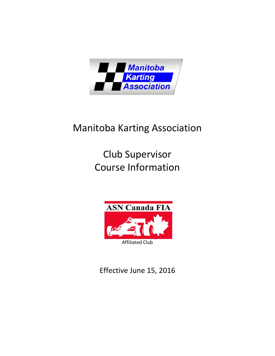

## Manitoba Karting Association

# Club Supervisor Course Information



Effective June 15, 2016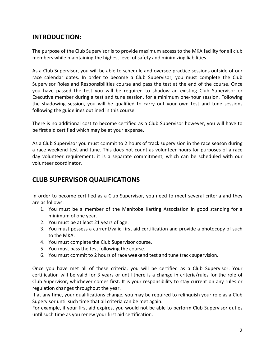## **INTRODUCTION:**

The purpose of the Club Supervisor is to provide maximum access to the MKA facility for all club members while maintaining the highest level of safety and minimizing liabilities.

As a Club Supervisor, you will be able to schedule and oversee practice sessions outside of our race calendar dates. In order to become a Club Supervisor, you must complete the Club Supervisor Roles and Responsibilities course and pass the test at the end of the course. Once you have passed the test you will be required to shadow an existing Club Supervisor or Executive member during a test and tune session, for a minimum one-hour session. Following the shadowing session, you will be qualified to carry out your own test and tune sessions following the guidelines outlined in this course.

There is no additional cost to become certified as a Club Supervisor however, you will have to be first aid certified which may be at your expense.

As a Club Supervisor you must commit to 2 hours of track supervision in the race season during a race weekend test and tune. This does not count as volunteer hours for purposes of a race day volunteer requirement; it is a separate commitment, which can be scheduled with our volunteer coordinator.

## **CLUB SUPERVISOR QUALIFICATIONS**

In order to become certified as a Club Supervisor, you need to meet several criteria and they are as follows:

- 1. You must be a member of the Manitoba Karting Association in good standing for a minimum of one year.
- 2. You must be at least 21 years of age.
- 3. You must possess a current/valid first aid certification and provide a photocopy of such to the MKA.
- 4. You must complete the Club Supervisor course.
- 5. You must pass the test following the course.
- 6. You must commit to 2 hours of race weekend test and tune track supervision.

Once you have met all of these criteria, you will be certified as a Club Supervisor. Your certification will be valid for 3 years or until there is a change in criteria/rules for the role of Club Supervisor, whichever comes first. It is your responsibility to stay current on any rules or regulation changes throughout the year.

If at any time, your qualifications change, you may be required to relinquish your role as a Club Supervisor until such time that all criteria can be met again.

For example, if your first aid expires, you would not be able to perform Club Supervisor duties until such time as you renew your first aid certification.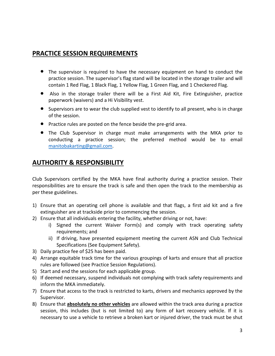## **PRACTICE SESSION REQUIREMENTS**

- The supervisor is required to have the necessary equipment on hand to conduct the practice session. The supervisor's flag stand will be located in the storage trailer and will contain 1 Red Flag, 1 Black Flag, 1 Yellow Flag, 1 Green Flag, and 1 Checkered Flag.
- Also in the storage trailer there will be a First Aid Kit, Fire Extinguisher, practice paperwork (waivers) and a Hi Visibility vest.
- Supervisors are to wear the club supplied vest to identify to all present, who is in charge of the session.
- Practice rules are posted on the fence beside the pre-grid area.
- The Club Supervisor in charge must make arrangements with the MKA prior to conducting a practice session; the preferred method would be to email [manitobakarting@gmail.com.](mailto:manitobakarting@gmail.com)

## **AUTHORITY & RESPONSIBILITY**

Club Supervisors certified by the MKA have final authority during a practice session. Their responsibilities are to ensure the track is safe and then open the track to the membership as per these guidelines.

- 1) Ensure that an operating cell phone is available and that flags, a first aid kit and a fire extinguisher are at trackside prior to commencing the session.
- 2) Ensure that all individuals entering the facility, whether driving or not, have:
	- i) Signed the current Waiver Form(s) and comply with track operating safety requirements; and
	- ii) If driving, have presented equipment meeting the current ASN and Club Technical Specifications (See Equipment Safety).
- 3) Daily practice fee of \$25 has been paid.
- 4) Arrange equitable track time for the various groupings of karts and ensure that all practice rules are followed (see Practice Session Regulations).
- 5) Start and end the sessions for each applicable group.
- 6) If deemed necessary, suspend individuals not complying with track safety requirements and inform the MKA immediately.
- 7) Ensure that access to the track is restricted to karts, drivers and mechanics approved by the Supervisor.
- 8) Ensure that **absolutely no other vehicles** are allowed within the track area during a practice session, this includes (but is not limited to) any form of kart recovery vehicle. If it is necessary to use a vehicle to retrieve a broken kart or injured driver, the track must be shut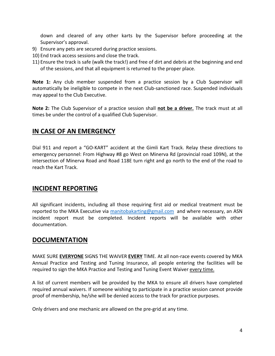down and cleared of any other karts by the Supervisor before proceeding at the Supervisor's approval.

- 9) Ensure any pets are secured during practice sessions.
- 10) End track access sessions and close the track.
- 11) Ensure the track is safe (walk the track!) and free of dirt and debris at the beginning and end of the sessions, and that all equipment is returned to the proper place.

**Note 1:** Any club member suspended from a practice session by a Club Supervisor will automatically be ineligible to compete in the next Club-sanctioned race. Suspended individuals may appeal to the Club Executive.

**Note 2:** The Club Supervisor of a practice session shall **not be a driver.** The track must at all times be under the control of a qualified Club Supervisor.

## **IN CASE OF AN EMERGENCY**

Dial 911 and report a "GO-KART" accident at the Gimli Kart Track. Relay these directions to emergency personnel: From Highway #8 go West on Minerva Rd (provincial road 109N), at the intersection of Minerva Road and Road 118E turn right and go north to the end of the road to reach the Kart Track.

#### **INCIDENT REPORTING**

All significant incidents, including all those requiring first aid or medical treatment must be reported to the MKA Executive via [manitobakarting@gmail.com](mailto:manitobakarting@gmail.com) and where necessary, an ASN incident report must be completed. Incident reports will be available with other documentation.

#### **DOCUMENTATION**

MAKE SURE **EVERYONE** SIGNS THE WAIVER **EVERY** TIME. At all non-race events covered by MKA Annual Practice and Testing and Tuning Insurance, all people entering the facilities will be required to sign the MKA Practice and Testing and Tuning Event Waiver every time.

A list of current members will be provided by the MKA to ensure all drivers have completed required annual waivers. If someone wishing to participate in a practice session cannot provide proof of membership, he/she will be denied access to the track for practice purposes.

Only drivers and one mechanic are allowed on the pre-grid at any time.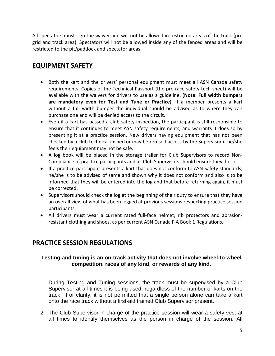All spectators must sign the waiver and will not be allowed in restricted areas of the track (pre grid and track area). Spectators will not be allowed inside any of the fenced areas and will be restricted to the pit/paddock and spectator areas.

## **EQUIPMENT SAFETY**

- Both the kart and the drivers' personal equipment must meet all ASN Canada safety requirements. Copies of the Technical Passport (the pre-race safety tech sheet) will be available with the waivers for drivers to use as a guideline. (**Note: Full width bumpers are mandatory even for Test and Tune or Practice)**. If a member presents a kart without a full width bumper the individual should be advised as to where they can purchase one and will be denied access to the circuit.
- Even if a kart has passed a club safety inspection, the participant is still responsible to ensure that it continues to meet ASN safety requirements, and warrants it does so by presenting it at a practice session. New drivers having equipment that has not been checked by a club technical inspector may be refused access by the Supervisor if he/she feels their equipment may not be safe.
- A log book will be placed in the storage trailer for Club Supervisors to record Non-Compliance of practice participants and all Club Supervisors should ensure they do so.
- If a practice participant presents a kart that does not conform to ASN Safety standards, he/she is to be advised of same and shown why it does not conform and also is to be informed that they will be entered into the log and that before returning again, it must be corrected.
- Supervisors should check the log at the beginning of their duty to ensure that they have an overall view of what has been logged at previous sessions respecting practice session participants.
- All drivers must wear a current rated full-face helmet, rib protectors and abrasionresistant clothing and shoes, as per current ASN Canada FIA Book 1 Regulations.

## **PRACTICE SESSION REGULATIONS**

#### **Testing and tuning is an on-track activity that does not involve wheel-to-wheel competition, races of any kind, or rewards of any kind.**

- 1. During Testing and Tuning sessions, the track must be supervised by a Club Supervisor at all times it is being used, regardless of the number of karts on the track. For clarity, it is not permitted that a single person alone can take a kart onto the race track without a first-aid trained Club Supervisor present.
- 2. The Club Supervisor in charge of the practice session will wear a safety vest at all times to identify themselves as the person in charge of the session. All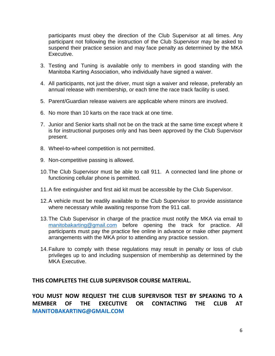participants must obey the direction of the Club Supervisor at all times. Any participant not following the instruction of the Club Supervisor may be asked to suspend their practice session and may face penalty as determined by the MKA Executive.

- 3. Testing and Tuning is available only to members in good standing with the Manitoba Karting Association, who individually have signed a waiver.
- 4. All participants, not just the driver, must sign a waiver and release, preferably an annual release with membership, or each time the race track facility is used.
- 5. Parent/Guardian release waivers are applicable where minors are involved.
- 6. No more than 10 karts on the race track at one time.
- 7. Junior and Senior karts shall not be on the track at the same time except where it is for instructional purposes only and has been approved by the Club Supervisor present.
- 8. Wheel-to-wheel competition is not permitted.
- 9. Non-competitive passing is allowed.
- 10.The Club Supervisor must be able to call 911. A connected land line phone or functioning cellular phone is permitted.
- 11.A fire extinguisher and first aid kit must be accessible by the Club Supervisor.
- 12.A vehicle must be readily available to the Club Supervisor to provide assistance where necessary while awaiting response from the 911 call.
- 13.The Club Supervisor in charge of the practice must notify the MKA via email to [manitobakarting@gmail.com](mailto:manitobakarting@gmail.com) before opening the track for practice. All participants must pay the practice fee online in advance or make other payment arrangements with the MKA prior to attending any practice session.
- 14.Failure to comply with these regulations may result in penalty or loss of club privileges up to and including suspension of membership as determined by the MKA Executive.

#### **THIS COMPLETES THE CLUB SUPERVISOR COURSE MATERIAL.**

**YOU MUST NOW REQUEST THE CLUB SUPERVISOR TEST BY SPEAKING TO A MEMBER OF THE EXECUTIVE OR CONTACTING THE CLUB AT [MANITOBAKARTING@GMAIL.COM](mailto:MANITOBAKARTING@GMAIL.COM)**